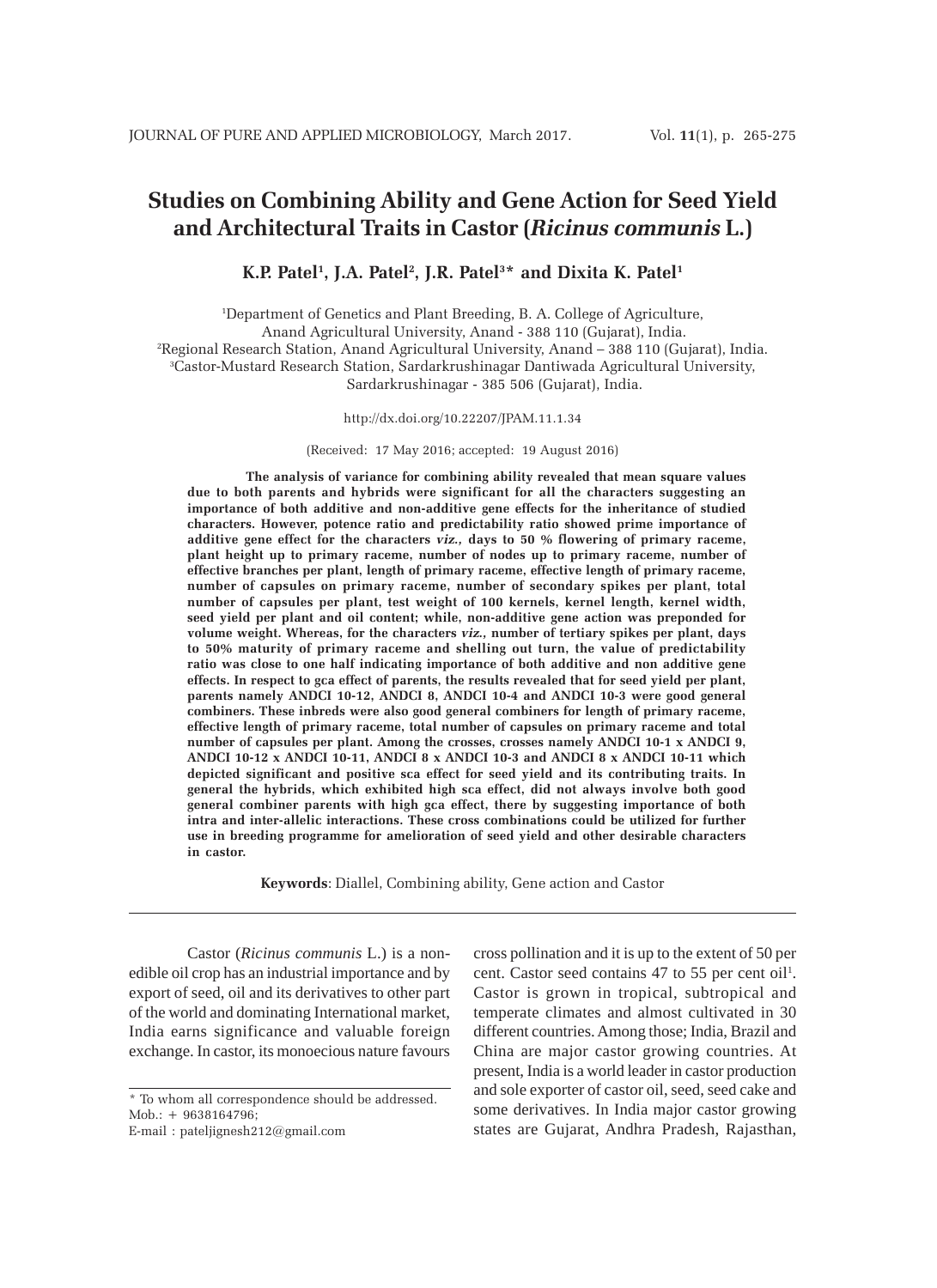# **Studies on Combining Ability and Gene Action for Seed Yield and Architectural Traits in Castor (***Ricinus communis* **L.)**

### K.P. Patel<sup>1</sup>, J.A. Patel<sup>2</sup>, J.R. Patel<sup>3\*</sup> and Dixita K. Patel<sup>1</sup>

1 Department of Genetics and Plant Breeding, B. A. College of Agriculture, Anand Agricultural University, Anand - 388 110 (Gujarat), India. 2 Regional Research Station, Anand Agricultural University, Anand – 388 110 (Gujarat), India. 3 Castor-Mustard Research Station, Sardarkrushinagar Dantiwada Agricultural University, Sardarkrushinagar - 385 506 (Gujarat), India.

http://dx.doi.org/10.22207/JPAM.11.1.34

(Received: 17 May 2016; accepted: 19 August 2016)

**The analysis of variance for combining ability revealed that mean square values due to both parents and hybrids were significant for all the characters suggesting an importance of both additive and non-additive gene effects for the inheritance of studied characters. However, potence ratio and predictability ratio showed prime importance of additive gene effect for the characters** *viz.,* **days to 50 % flowering of primary raceme, plant height up to primary raceme, number of nodes up to primary raceme, number of effective branches per plant, length of primary raceme, effective length of primary raceme, number of capsules on primary raceme, number of secondary spikes per plant, total number of capsules per plant, test weight of 100 kernels, kernel length, kernel width, seed yield per plant and oil content; while, non-additive gene action was preponded for volume weight. Whereas, for the characters** *viz.,* **number of tertiary spikes per plant, days to 50% maturity of primary raceme and shelling out turn, the value of predictability ratio was close to one half indicating importance of both additive and non additive gene effects. In respect to gca effect of parents, the results revealed that for seed yield per plant, parents namely ANDCI 10-12, ANDCI 8, ANDCI 10-4 and ANDCI 10-3 were good general combiners. These inbreds were also good general combiners for length of primary raceme, effective length of primary raceme, total number of capsules on primary raceme and total number of capsules per plant. Among the crosses, crosses namely ANDCI 10-1 x ANDCI 9, ANDCI 10-12 x ANDCI 10-11, ANDCI 8 x ANDCI 10-3 and ANDCI 8 x ANDCI 10-11 which depicted significant and positive sca effect for seed yield and its contributing traits. In general the hybrids, which exhibited high sca effect, did not always involve both good general combiner parents with high gca effect, there by suggesting importance of both intra and inter-allelic interactions. These cross combinations could be utilized for further use in breeding programme for amelioration of seed yield and other desirable characters in castor.**

**Keywords**: Diallel, Combining ability, Gene action and Castor

Castor (*Ricinus communis* L.) is a nonedible oil crop has an industrial importance and by export of seed, oil and its derivatives to other part of the world and dominating International market, India earns significance and valuable foreign exchange. In castor, its monoecious nature favours cross pollination and it is up to the extent of 50 per cent. Castor seed contains 47 to 55 per cent oil<sup>1</sup>. Castor is grown in tropical, subtropical and temperate climates and almost cultivated in 30 different countries. Among those; India, Brazil and China are major castor growing countries. At present, India is a world leader in castor production and sole exporter of castor oil, seed, seed cake and some derivatives. In India major castor growing states are Gujarat, Andhra Pradesh, Rajasthan,

<sup>\*</sup> To whom all correspondence should be addressed. Mob.: + 9638164796;

E-mail : pateljignesh212@gmail.com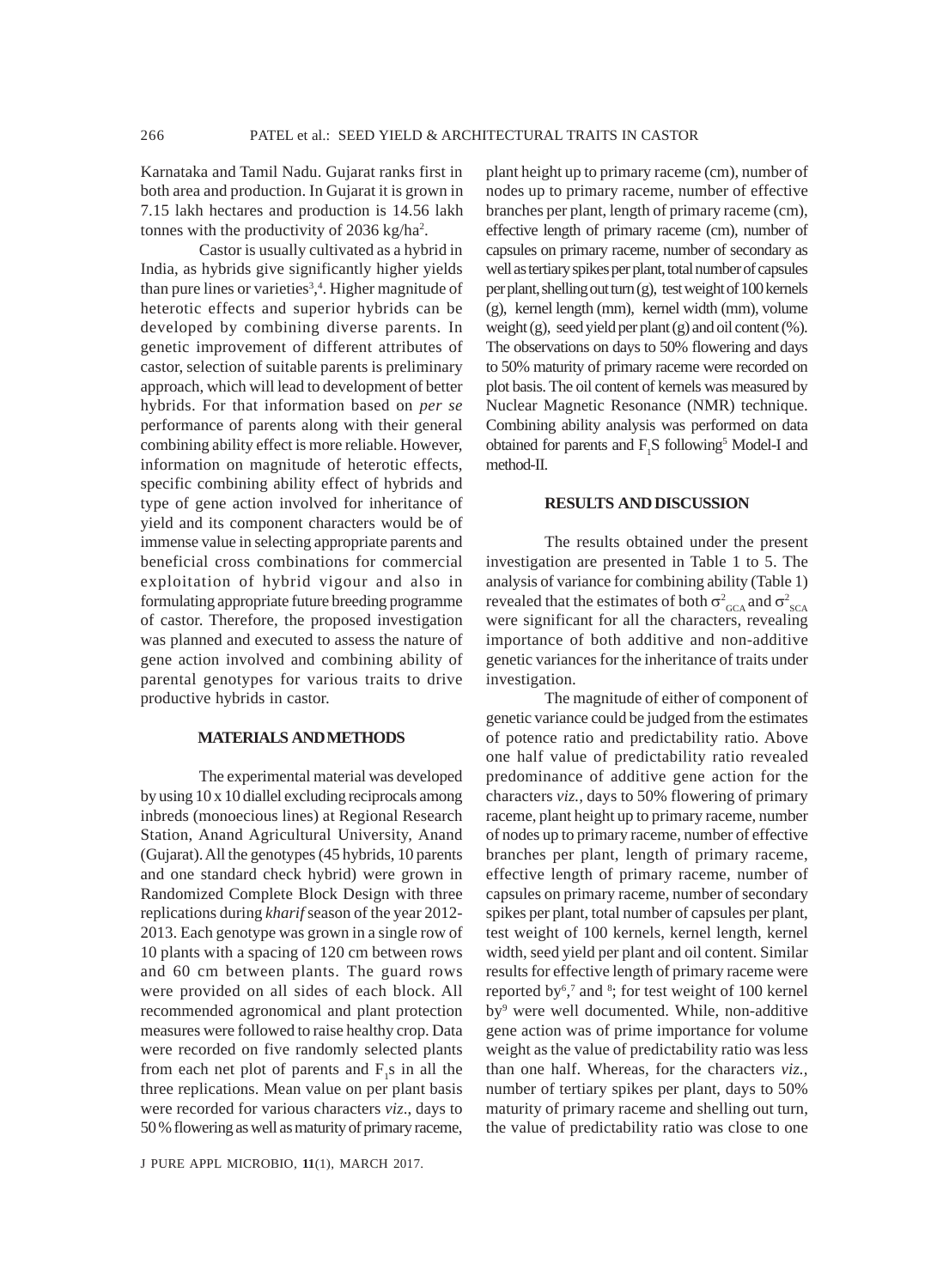Karnataka and Tamil Nadu. Gujarat ranks first in both area and production. In Gujarat it is grown in 7.15 lakh hectares and production is 14.56 lakh tonnes with the productivity of  $2036 \text{ kg/ha}^2$ .

Castor is usually cultivated as a hybrid in India, as hybrids give significantly higher yields than pure lines or varieties<sup>3</sup>,<sup>4</sup>. Higher magnitude of heterotic effects and superior hybrids can be developed by combining diverse parents. In genetic improvement of different attributes of castor, selection of suitable parents is preliminary approach, which will lead to development of better hybrids. For that information based on *per se* performance of parents along with their general combining ability effect is more reliable. However, information on magnitude of heterotic effects, specific combining ability effect of hybrids and type of gene action involved for inheritance of yield and its component characters would be of immense value in selecting appropriate parents and beneficial cross combinations for commercial exploitation of hybrid vigour and also in formulating appropriate future breeding programme of castor. Therefore, the proposed investigation was planned and executed to assess the nature of gene action involved and combining ability of parental genotypes for various traits to drive productive hybrids in castor.

#### **MATERIALS AND METHODS**

The experimental material was developed by using 10 x 10 diallel excluding reciprocals among inbreds (monoecious lines) at Regional Research Station, Anand Agricultural University, Anand (Gujarat). All the genotypes (45 hybrids, 10 parents and one standard check hybrid) were grown in Randomized Complete Block Design with three replications during *kharif* season of the year 2012- 2013. Each genotype was grown in a single row of 10 plants with a spacing of 120 cm between rows and 60 cm between plants. The guard rows were provided on all sides of each block. All recommended agronomical and plant protection measures were followed to raise healthy crop. Data were recorded on five randomly selected plants from each net plot of parents and  $F_1$ s in all the three replications. Mean value on per plant basis were recorded for various characters *viz*., days to 50 % flowering as well as maturity of primary raceme,

J PURE APPL MICROBIO*,* **11**(1), MARCH 2017.

plant height up to primary raceme (cm), number of nodes up to primary raceme, number of effective branches per plant, length of primary raceme (cm), effective length of primary raceme (cm), number of capsules on primary raceme, number of secondary as well as tertiary spikes per plant, total number of capsules per plant, shelling out turn (g), test weight of 100 kernels (g), kernel length (mm), kernel width (mm), volume weight (g), seed yield per plant (g) and oil content (%). The observations on days to 50% flowering and days to 50% maturity of primary raceme were recorded on plot basis. The oil content of kernels was measured by Nuclear Magnetic Resonance (NMR) technique. Combining ability analysis was performed on data obtained for parents and  $F_1S$  following<sup>5</sup> Model-I and method-II.

### **RESULTS AND DISCUSSION**

The results obtained under the present investigation are presented in Table 1 to 5. The analysis of variance for combining ability (Table 1) revealed that the estimates of both  $\sigma^2_{\text{GCA}}$  and  $\sigma^2_{\text{SCA}}$ were significant for all the characters, revealing importance of both additive and non-additive genetic variances for the inheritance of traits under investigation.

The magnitude of either of component of genetic variance could be judged from the estimates of potence ratio and predictability ratio. Above one half value of predictability ratio revealed predominance of additive gene action for the characters *viz.,* days to 50% flowering of primary raceme, plant height up to primary raceme, number of nodes up to primary raceme, number of effective branches per plant, length of primary raceme, effective length of primary raceme, number of capsules on primary raceme, number of secondary spikes per plant, total number of capsules per plant, test weight of 100 kernels, kernel length, kernel width, seed yield per plant and oil content. Similar results for effective length of primary raceme were reported by<sup>6,7</sup> and  $\frac{8}{3}$ ; for test weight of 100 kernel by9 were well documented. While, non-additive gene action was of prime importance for volume weight as the value of predictability ratio was less than one half. Whereas, for the characters *viz.,* number of tertiary spikes per plant, days to 50% maturity of primary raceme and shelling out turn, the value of predictability ratio was close to one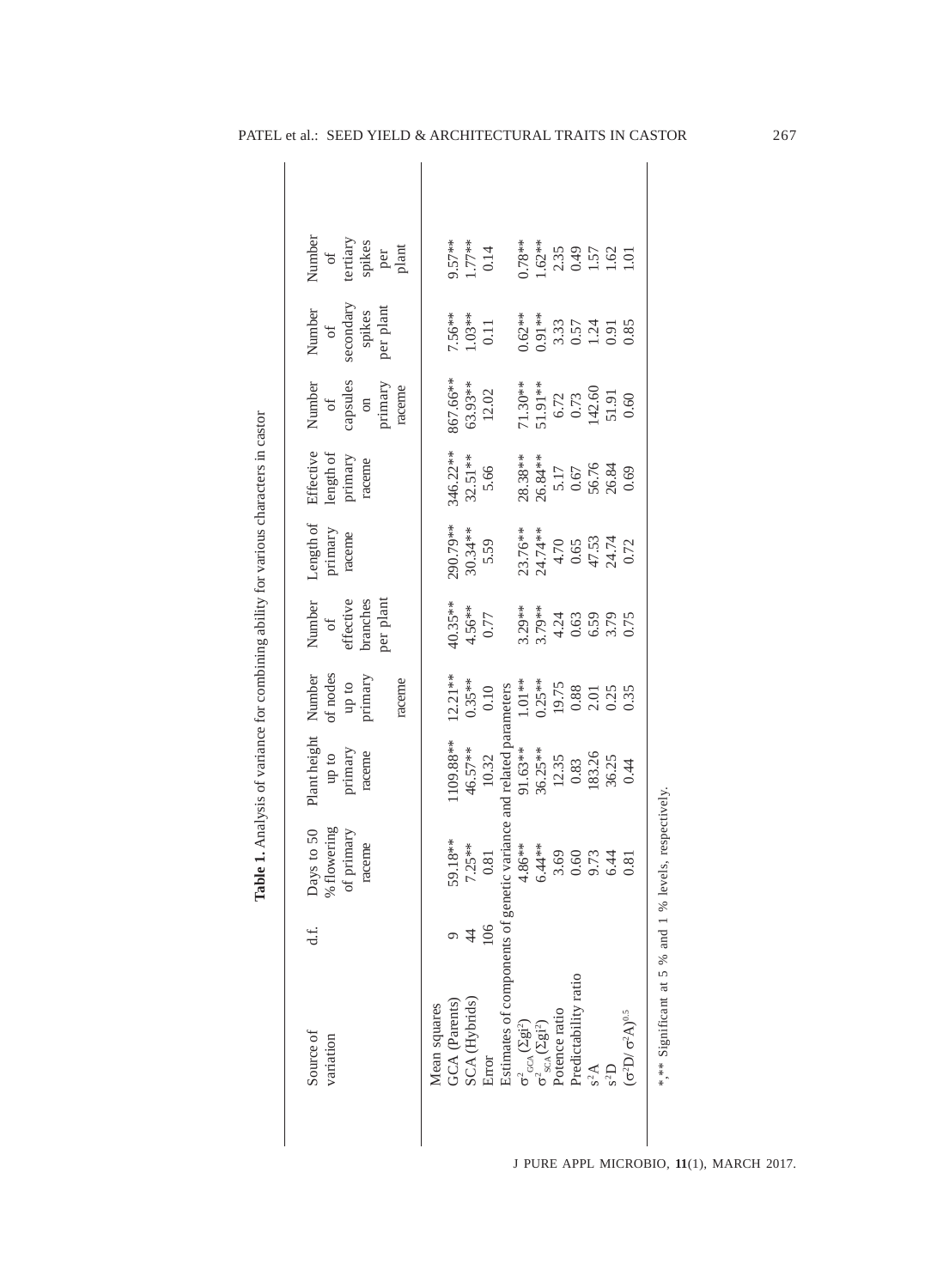| Source of<br>variation                            | d.f.           | Jays to 50<br>% flowering<br>of primary<br>raceme                                                        | Plant height<br>up to<br>primary<br>raceme                                                                                         | Number<br>of nodes<br>up to<br>primary<br>raceme | Number<br>of<br>offective<br>effective<br>branches<br>per plant | $\begin{array}{c} \text{Length of} \\ \text{primary} \\ \text{raceme} \end{array}$       | $\begin{array}{l}{\rm Effective}\\ \text{length of}\\ \text{primary}\\ \text{primary}\\ \text{rac} \end{array}$ | Number<br>of<br>capsules<br>on<br>primary<br>raceme               | secondary<br>spikes<br>per plant<br>Number of                          | Number<br>of<br>tertiary<br>spikes<br>per<br>plant                   |
|---------------------------------------------------|----------------|----------------------------------------------------------------------------------------------------------|------------------------------------------------------------------------------------------------------------------------------------|--------------------------------------------------|-----------------------------------------------------------------|------------------------------------------------------------------------------------------|-----------------------------------------------------------------------------------------------------------------|-------------------------------------------------------------------|------------------------------------------------------------------------|----------------------------------------------------------------------|
| GCA (Parents)<br>Mean squares                     |                | 59.18**                                                                                                  | 109.88**                                                                                                                           |                                                  |                                                                 |                                                                                          |                                                                                                                 | 867.66**                                                          |                                                                        |                                                                      |
| SCA (Hybrids)                                     | $\overline{4}$ | $7.25**$                                                                                                 | 46.57**                                                                                                                            |                                                  |                                                                 |                                                                                          |                                                                                                                 |                                                                   |                                                                        |                                                                      |
| Error                                             | 106            | $\!0.81$                                                                                                 | ce and related parameters<br>91.63**<br>91.63**<br>1.01**<br>36.25**<br>12.35<br>19.75<br>83<br>0.88<br>0.65<br>16<br>0.20<br>0.25 | $12.21**$<br>0.35**<br>0.10                      | 40.35**<br>4.56**<br>0.77                                       | $290.79**$<br>30.34**<br>5.59                                                            | 346.22**<br>32.51**<br>5.66                                                                                     | $63.93**$<br>12.02                                                | $7.56***$<br>1.03**<br>0.11                                            | $7.57**$<br>1.77**<br>0.14                                           |
| Estimates of components of gene                   |                |                                                                                                          |                                                                                                                                    |                                                  |                                                                 |                                                                                          |                                                                                                                 |                                                                   |                                                                        |                                                                      |
| $\sigma^2_{\rm gca}$ ( $\Sigma$ gi <sup>2</sup> ) |                |                                                                                                          |                                                                                                                                    |                                                  |                                                                 |                                                                                          |                                                                                                                 |                                                                   |                                                                        |                                                                      |
| $\sigma^2_{\rm \,sch}(\Sigma {\rm gi^2})$         |                |                                                                                                          |                                                                                                                                    |                                                  |                                                                 |                                                                                          |                                                                                                                 |                                                                   |                                                                        |                                                                      |
| Potence ratio                                     |                |                                                                                                          |                                                                                                                                    |                                                  |                                                                 |                                                                                          |                                                                                                                 |                                                                   |                                                                        |                                                                      |
| Predictability ratio                              |                |                                                                                                          |                                                                                                                                    |                                                  |                                                                 |                                                                                          |                                                                                                                 |                                                                   |                                                                        |                                                                      |
| $s^2A$                                            |                | dic variance $\frac{2}{4.86**}$<br>$\frac{4.86**}{6.44**}$<br>$\frac{3.60}{0.60}$<br>$\frac{6.73}{0.81}$ |                                                                                                                                    |                                                  |                                                                 | $\begin{array}{c} 23.76**\\ 24.74**\\ 4.70\\ 0.65\\ 47.53\\ 24.74\\ 24.74\\ \end{array}$ | $\begin{array}{l} 28.38**\\ 26.84**\\ 5.17\\ 6.67\\ 6.76\\ 26.84\\ 26.84\\ 26.84\\ 26.84 \end{array}$           | $71.30**$<br>$51.91**$<br>$6.72$<br>$0.73$<br>$142.60$<br>$51.91$ | $0.62**$<br>$0.91**$<br>$3.33$<br>$0.57$<br>$1.24$<br>$0.91$<br>$0.95$ | $78**$<br>$1.62**$<br>$2.35$<br>$0.49$<br>$1.62$<br>$1.62$<br>$1.01$ |
| $S^2D$                                            |                |                                                                                                          |                                                                                                                                    |                                                  |                                                                 |                                                                                          |                                                                                                                 |                                                                   |                                                                        |                                                                      |
| $(\sigma^2D/\sigma^2A)^{0.5}$                     |                |                                                                                                          |                                                                                                                                    |                                                  |                                                                 |                                                                                          |                                                                                                                 |                                                                   |                                                                        |                                                                      |

Table 1. Analysis of variance for combining ability for various characters in castor **Table 1.** Analysis of variance for combining ability for various characters in castor

J PURE APPL MICROBIO*,* **11**(1), MARCH 2017.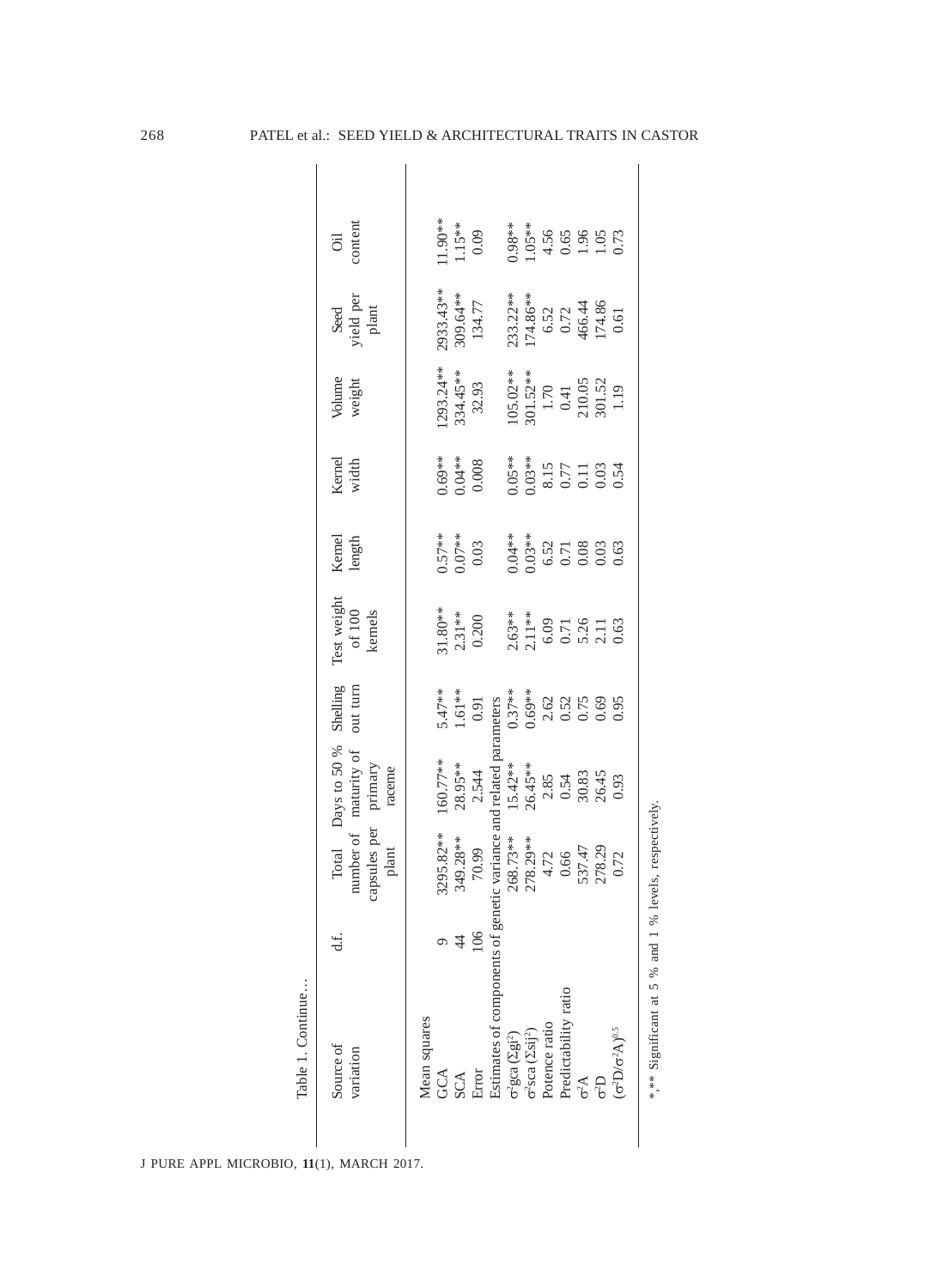| Total Days to 50 %<br>number of maturity of<br>upsules per primary<br>c variance and related par<br>$268.73**$<br>$15.42**$<br>$278.29**$<br>$4.72$<br>$0.66$<br>$0.54$<br>$537.47$<br>$20.83$<br>$26.45$<br>$0.54$<br>$20.83$<br>$26.45$<br>160.77**<br>28.95 **<br>raceme<br>2.544<br>295.82**<br>349.28**<br>70.99<br>$_{\rm plant}$<br>ca<br>ω<br>Estimates of components of genetic<br>106<br>$\frac{1}{1}$<br>4<br>Mean squares<br>$\sigma^2$ sca ( $\Sigma$ sij <sup>2</sup> )<br>$\sigma^2$ gca $(\Sigma$ gi <sup>2</sup> )<br>Source of<br>variation<br><b>GCA</b><br>SCA<br>Error | Shelling<br>out turn<br>$5.47**$<br>1.61**<br>0.91                     | Test weight<br>of 100<br>kernels<br>$\begin{array}{c} 31.80** \\ 2.31** \\ 0.200 \end{array}$ | Kernel<br>length<br>$\frac{57**}{0.07**}$                    | $0.69***$<br>0.04**<br>0.008<br>Kernel<br>width              | $1293.24**$<br>334.45**<br>32.93<br>Volume<br>weight                       | 2933.43**<br>309.64**<br>134.77<br>Seed<br>yield per<br>plant                                       | $1.90***$<br>1.15 **<br>0.09<br>Oil<br>content               |
|---------------------------------------------------------------------------------------------------------------------------------------------------------------------------------------------------------------------------------------------------------------------------------------------------------------------------------------------------------------------------------------------------------------------------------------------------------------------------------------------------------------------------------------------------------------------------------------------|------------------------------------------------------------------------|-----------------------------------------------------------------------------------------------|--------------------------------------------------------------|--------------------------------------------------------------|----------------------------------------------------------------------------|-----------------------------------------------------------------------------------------------------|--------------------------------------------------------------|
|                                                                                                                                                                                                                                                                                                                                                                                                                                                                                                                                                                                             |                                                                        |                                                                                               |                                                              |                                                              |                                                                            |                                                                                                     |                                                              |
|                                                                                                                                                                                                                                                                                                                                                                                                                                                                                                                                                                                             |                                                                        |                                                                                               |                                                              |                                                              |                                                                            |                                                                                                     |                                                              |
|                                                                                                                                                                                                                                                                                                                                                                                                                                                                                                                                                                                             |                                                                        |                                                                                               |                                                              |                                                              |                                                                            |                                                                                                     |                                                              |
|                                                                                                                                                                                                                                                                                                                                                                                                                                                                                                                                                                                             |                                                                        |                                                                                               |                                                              |                                                              |                                                                            |                                                                                                     |                                                              |
|                                                                                                                                                                                                                                                                                                                                                                                                                                                                                                                                                                                             |                                                                        |                                                                                               |                                                              |                                                              |                                                                            |                                                                                                     |                                                              |
|                                                                                                                                                                                                                                                                                                                                                                                                                                                                                                                                                                                             | ameters                                                                |                                                                                               |                                                              |                                                              |                                                                            |                                                                                                     |                                                              |
|                                                                                                                                                                                                                                                                                                                                                                                                                                                                                                                                                                                             | $0.37**$<br>$0.69**$<br>$2.62$<br>$0.52$<br>$0.52$<br>$0.05$<br>$0.95$ | $2.63**$<br>$2.11**$<br>$6.09$<br>$6.071$<br>$5.26$<br>$2.11$<br>$0.63$                       | $0.04**$<br>$0.03**$<br>$0.52$<br>$0.03$<br>$0.03$<br>$0.03$ | $0.05**$<br>$0.03**$<br>$0.15$<br>$0.03$<br>$0.54$<br>$0.54$ | 105.02**<br>301.52**<br>1.70<br>1.70<br>0.41<br>210.05<br>301.52<br>301.52 | $\begin{array}{r} 233.22**\\ 174.86**\\ 6.52\\ 0.72\\ 466.44\\ 174.86\\ 174.86\\ 10.61 \end{array}$ |                                                              |
|                                                                                                                                                                                                                                                                                                                                                                                                                                                                                                                                                                                             |                                                                        |                                                                                               |                                                              |                                                              |                                                                            |                                                                                                     |                                                              |
| Potence ratio                                                                                                                                                                                                                                                                                                                                                                                                                                                                                                                                                                               |                                                                        |                                                                                               |                                                              |                                                              |                                                                            |                                                                                                     |                                                              |
| Predictability ratio                                                                                                                                                                                                                                                                                                                                                                                                                                                                                                                                                                        |                                                                        |                                                                                               |                                                              |                                                              |                                                                            |                                                                                                     |                                                              |
| $\sigma^2$ A                                                                                                                                                                                                                                                                                                                                                                                                                                                                                                                                                                                |                                                                        |                                                                                               |                                                              |                                                              |                                                                            |                                                                                                     | $0.98**$<br>1.05 **<br>4.56<br>4.56<br>1.05<br>1.05<br>1.073 |
| G <sup>2</sup>                                                                                                                                                                                                                                                                                                                                                                                                                                                                                                                                                                              |                                                                        |                                                                                               |                                                              |                                                              |                                                                            |                                                                                                     |                                                              |
| $(\sigma^2 D / \sigma^2 A)^{0.5}$                                                                                                                                                                                                                                                                                                                                                                                                                                                                                                                                                           |                                                                        |                                                                                               |                                                              |                                                              |                                                                            |                                                                                                     |                                                              |

\*,\*\* Significant at 5 % and 1 % levels, respectively. \*,\*\* Significant at 5 % and 1 % levels, respectively.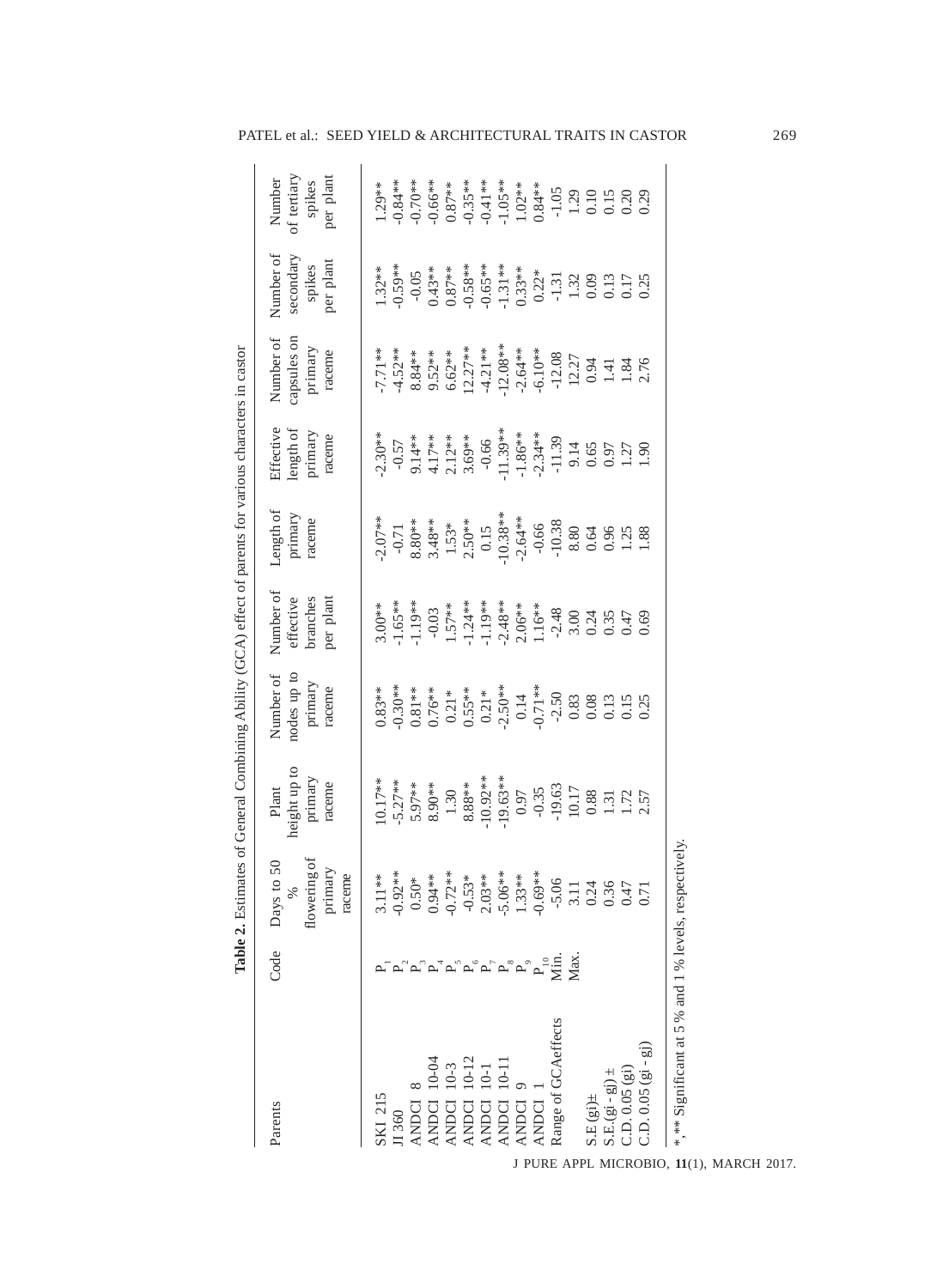|                                                       |                   |                                                             | Table 2. Estimates of General Combining Ability (GCA) effect of parents for various characters in castor                                                                                           |                                                                                                                                                                                                                                                                                                                                                                                                                     |                                                                                                                                                                                                                                                                                      |                                                                                                                                                                                                                                             |                                                                                                                                                                                                                                                                                                                                       |                                                                                                                                                                                                                                                                                                                      |                                               |                                                                                                                                                                                                                                                                                                                                             |
|-------------------------------------------------------|-------------------|-------------------------------------------------------------|----------------------------------------------------------------------------------------------------------------------------------------------------------------------------------------------------|---------------------------------------------------------------------------------------------------------------------------------------------------------------------------------------------------------------------------------------------------------------------------------------------------------------------------------------------------------------------------------------------------------------------|--------------------------------------------------------------------------------------------------------------------------------------------------------------------------------------------------------------------------------------------------------------------------------------|---------------------------------------------------------------------------------------------------------------------------------------------------------------------------------------------------------------------------------------------|---------------------------------------------------------------------------------------------------------------------------------------------------------------------------------------------------------------------------------------------------------------------------------------------------------------------------------------|----------------------------------------------------------------------------------------------------------------------------------------------------------------------------------------------------------------------------------------------------------------------------------------------------------------------|-----------------------------------------------|---------------------------------------------------------------------------------------------------------------------------------------------------------------------------------------------------------------------------------------------------------------------------------------------------------------------------------------------|
| Parents                                               | Code              | ng of<br>50<br>primary<br>raceme<br>Days to<br>floweri<br>% | height up to<br>primary<br>raceme<br>Plant                                                                                                                                                         | Number of<br>nodes up to<br>primary<br>raceme                                                                                                                                                                                                                                                                                                                                                                       | Number of<br>per plant<br>effective<br>branches                                                                                                                                                                                                                                      | Length of<br>primary<br>raceme                                                                                                                                                                                                              | Effective<br>length of<br>primary<br>raceme                                                                                                                                                                                                                                                                                           | capsules on<br>Number of<br>primary<br>raceme                                                                                                                                                                                                                                                                        | Number of<br>secondary<br>per plant<br>spikes | per plant<br>of tertiary<br>Number<br>spikes                                                                                                                                                                                                                                                                                                |
| SKI 215<br>JI 360                                     |                   | $-0.92**$<br>3.11**                                         | 10.17**                                                                                                                                                                                            | $0.83**$                                                                                                                                                                                                                                                                                                                                                                                                            | $3.00**$                                                                                                                                                                                                                                                                             | $2.07***$                                                                                                                                                                                                                                   | $-2.30**$                                                                                                                                                                                                                                                                                                                             | $\begin{array}{l} 7.71**\\ -7.52**\\ 8.84**\\ 9.52**\\ 6.02**\\ 12.27**\\ -12.08**\\ -12.08**\\ -12.08**\\ -12.08**\\ -12.08**\\ -12.08**\\ -12.09**\\ -12.09**\\ -12.09**\\ -12.09**\\ -12.09**\\ -12.09**\\ -12.09**\\ -12.09**\\ -12.09**\\ -12.09**\\ -12.09**\\ -12.09**\\ -12.09**\\ -12.09**\\ -12.09**\\ -1$ | $1.32**$                                      | 1.29**                                                                                                                                                                                                                                                                                                                                      |
| ANDCI                                                 |                   | $0.50*$                                                     | $-5.27$<br>$3.9$<br>$5.9$<br>$5.9$<br>$3.30$<br>$3.30$<br>$3.30$<br>$3.30$<br>$3.30$<br>$3.30$<br>$3.30$<br>$3.30$<br>$3.31$<br>$3.31$<br>$3.31$<br>$3.32$<br>$3.33$<br>$3.33$<br>$3.33$<br>$3.33$ | $\begin{array}{l} 30^{**}_{10} \times 30^{**}_{11} \times 30^{**}_{12} \times 30^{**}_{13} \times 30^{**}_{14} \times 30^{**}_{15} \times 30^{**}_{16} \times 30^{**}_{17} \times 30^{**}_{18} \times 30^{**}_{19} \times 30^{**}_{19} \times 30^{**}_{19} \times 30^{**}_{19} \times 30^{**}_{19} \times 30^{**}_{19} \times 30^{**}_{19} \times 30^{**}_{19} \times 30^{**}_{19} \times 30^{**}_{19} \times 30^{$ | $-1.65$<br>$-3.5$<br>$-1.9$<br>$-1.5$<br>$-3.4$<br>$-1.5$<br>$-1.5$<br>$-1.5$<br>$-1.5$<br>$-1.5$<br>$-1.5$<br>$-1.5$<br>$-1.5$<br>$-1.5$<br>$-1.5$<br>$-1.5$<br>$-1.5$<br>$-1.5$<br>$-1.5$<br>$-1.5$<br>$-1.5$<br>$-1.5$<br>$-1.5$<br>$-1.5$<br>$-1.5$<br>$-1.5$<br>$-1.5$<br>$-1.$ | $-0.71$<br>$8.80$ <sup>**</sup><br>$8.348$ <sup>**</sup><br>$1.53$ <sup>*</sup><br>$1.53$ <sup>*</sup><br>$1.53$ <sup>*</sup><br>$0.15$<br>$0.15$<br>$0.38$<br>$0.64$<br>$0.64$<br>$0.64$<br>$0.56$<br>$0.25$<br>$0.25$<br>$0.15$<br>$0.15$ | $\begin{array}{l} -0.57 \\ 9.14** \\ 4.17** \\ 2.13** \\ -0.66** \\ 1.39** \\ -1.86** \\ -0.34** \\ -1.39* \\ -1.39* \\ -1.39* \\ -1.39* \\ -1.39* \\ -1.39* \\ -1.39* \\ -1.39* \\ -1.30* \\ -1.30* \\ -1.30* \\ -1.30* \\ -1.30* \\ -1.30* \\ -1.30* \\ -1.30* \\ -1.30* \\ -1.30* \\ -1.30* \\ -1.30* \\ -1.30* \\ -1.30* \\ -1.3$ |                                                                                                                                                                                                                                                                                                                      |                                               | $\begin{array}{l} 34\overset{**}{\cancel{.}} \\ -0.70\overset{**}{\cancel{.}} \\ -0.66\overset{**}{\cancel{.}} \\ -0.87\overset{**}{\cancel{.}} \\ -0.87\overset{**}{\cancel{.}} \\ -0.87\overset{**}{\cancel{.}} \\ -0.087\overset{**}{\cancel{.}} \\ -0.084\overset{**}{\cancel{.}} \\ -1.02\overset{**}{\cancel{.}} \\ -1.29\end{array}$ |
| <b>ANDCI 10-04</b>                                    |                   | $0.94***$                                                   |                                                                                                                                                                                                    |                                                                                                                                                                                                                                                                                                                                                                                                                     |                                                                                                                                                                                                                                                                                      |                                                                                                                                                                                                                                             |                                                                                                                                                                                                                                                                                                                                       |                                                                                                                                                                                                                                                                                                                      |                                               |                                                                                                                                                                                                                                                                                                                                             |
| $10-3$<br>ANDCI                                       |                   | $-0.72**$                                                   |                                                                                                                                                                                                    |                                                                                                                                                                                                                                                                                                                                                                                                                     |                                                                                                                                                                                                                                                                                      |                                                                                                                                                                                                                                             |                                                                                                                                                                                                                                                                                                                                       |                                                                                                                                                                                                                                                                                                                      |                                               |                                                                                                                                                                                                                                                                                                                                             |
| <b>ANDCI 10-12</b>                                    |                   | $-0.53*$                                                    |                                                                                                                                                                                                    |                                                                                                                                                                                                                                                                                                                                                                                                                     |                                                                                                                                                                                                                                                                                      |                                                                                                                                                                                                                                             |                                                                                                                                                                                                                                                                                                                                       |                                                                                                                                                                                                                                                                                                                      |                                               |                                                                                                                                                                                                                                                                                                                                             |
| ANDCI 10-1                                            |                   | $2.03**$                                                    |                                                                                                                                                                                                    |                                                                                                                                                                                                                                                                                                                                                                                                                     |                                                                                                                                                                                                                                                                                      |                                                                                                                                                                                                                                             |                                                                                                                                                                                                                                                                                                                                       |                                                                                                                                                                                                                                                                                                                      |                                               |                                                                                                                                                                                                                                                                                                                                             |
| ANDCI 10-1                                            |                   | $-5.06**$                                                   |                                                                                                                                                                                                    |                                                                                                                                                                                                                                                                                                                                                                                                                     |                                                                                                                                                                                                                                                                                      |                                                                                                                                                                                                                                             |                                                                                                                                                                                                                                                                                                                                       |                                                                                                                                                                                                                                                                                                                      |                                               |                                                                                                                                                                                                                                                                                                                                             |
| <b>ANDCI</b>                                          |                   | $1.33**$                                                    |                                                                                                                                                                                                    |                                                                                                                                                                                                                                                                                                                                                                                                                     |                                                                                                                                                                                                                                                                                      |                                                                                                                                                                                                                                             |                                                                                                                                                                                                                                                                                                                                       |                                                                                                                                                                                                                                                                                                                      |                                               |                                                                                                                                                                                                                                                                                                                                             |
| <b>ANDCI</b>                                          | $\mathbf{P}_{10}$ | $-0.69**$                                                   |                                                                                                                                                                                                    |                                                                                                                                                                                                                                                                                                                                                                                                                     |                                                                                                                                                                                                                                                                                      |                                                                                                                                                                                                                                             |                                                                                                                                                                                                                                                                                                                                       |                                                                                                                                                                                                                                                                                                                      |                                               |                                                                                                                                                                                                                                                                                                                                             |
| Range of GCAeffects                                   | Min               | $-5.06$                                                     |                                                                                                                                                                                                    |                                                                                                                                                                                                                                                                                                                                                                                                                     |                                                                                                                                                                                                                                                                                      |                                                                                                                                                                                                                                             |                                                                                                                                                                                                                                                                                                                                       |                                                                                                                                                                                                                                                                                                                      |                                               |                                                                                                                                                                                                                                                                                                                                             |
|                                                       | Max               | 3.11                                                        |                                                                                                                                                                                                    |                                                                                                                                                                                                                                                                                                                                                                                                                     |                                                                                                                                                                                                                                                                                      |                                                                                                                                                                                                                                             |                                                                                                                                                                                                                                                                                                                                       |                                                                                                                                                                                                                                                                                                                      |                                               |                                                                                                                                                                                                                                                                                                                                             |
| $S.E(gi) \pm$                                         |                   | 0.24                                                        |                                                                                                                                                                                                    |                                                                                                                                                                                                                                                                                                                                                                                                                     |                                                                                                                                                                                                                                                                                      |                                                                                                                                                                                                                                             |                                                                                                                                                                                                                                                                                                                                       |                                                                                                                                                                                                                                                                                                                      |                                               |                                                                                                                                                                                                                                                                                                                                             |
| $S.E.(gi-gj) =$                                       |                   | 0.36                                                        |                                                                                                                                                                                                    |                                                                                                                                                                                                                                                                                                                                                                                                                     |                                                                                                                                                                                                                                                                                      |                                                                                                                                                                                                                                             |                                                                                                                                                                                                                                                                                                                                       |                                                                                                                                                                                                                                                                                                                      |                                               |                                                                                                                                                                                                                                                                                                                                             |
| C.D. 0.05 (gi)                                        |                   | 0.47                                                        |                                                                                                                                                                                                    |                                                                                                                                                                                                                                                                                                                                                                                                                     |                                                                                                                                                                                                                                                                                      |                                                                                                                                                                                                                                             |                                                                                                                                                                                                                                                                                                                                       |                                                                                                                                                                                                                                                                                                                      |                                               |                                                                                                                                                                                                                                                                                                                                             |
| $C.D. 0.05 (gi-gj)$                                   |                   | 0.7                                                         |                                                                                                                                                                                                    |                                                                                                                                                                                                                                                                                                                                                                                                                     |                                                                                                                                                                                                                                                                                      |                                                                                                                                                                                                                                             |                                                                                                                                                                                                                                                                                                                                       |                                                                                                                                                                                                                                                                                                                      |                                               |                                                                                                                                                                                                                                                                                                                                             |
| *,** Significant at 5 % and 1 % levels, respectively. |                   |                                                             |                                                                                                                                                                                                    |                                                                                                                                                                                                                                                                                                                                                                                                                     |                                                                                                                                                                                                                                                                                      |                                                                                                                                                                                                                                             |                                                                                                                                                                                                                                                                                                                                       |                                                                                                                                                                                                                                                                                                                      |                                               |                                                                                                                                                                                                                                                                                                                                             |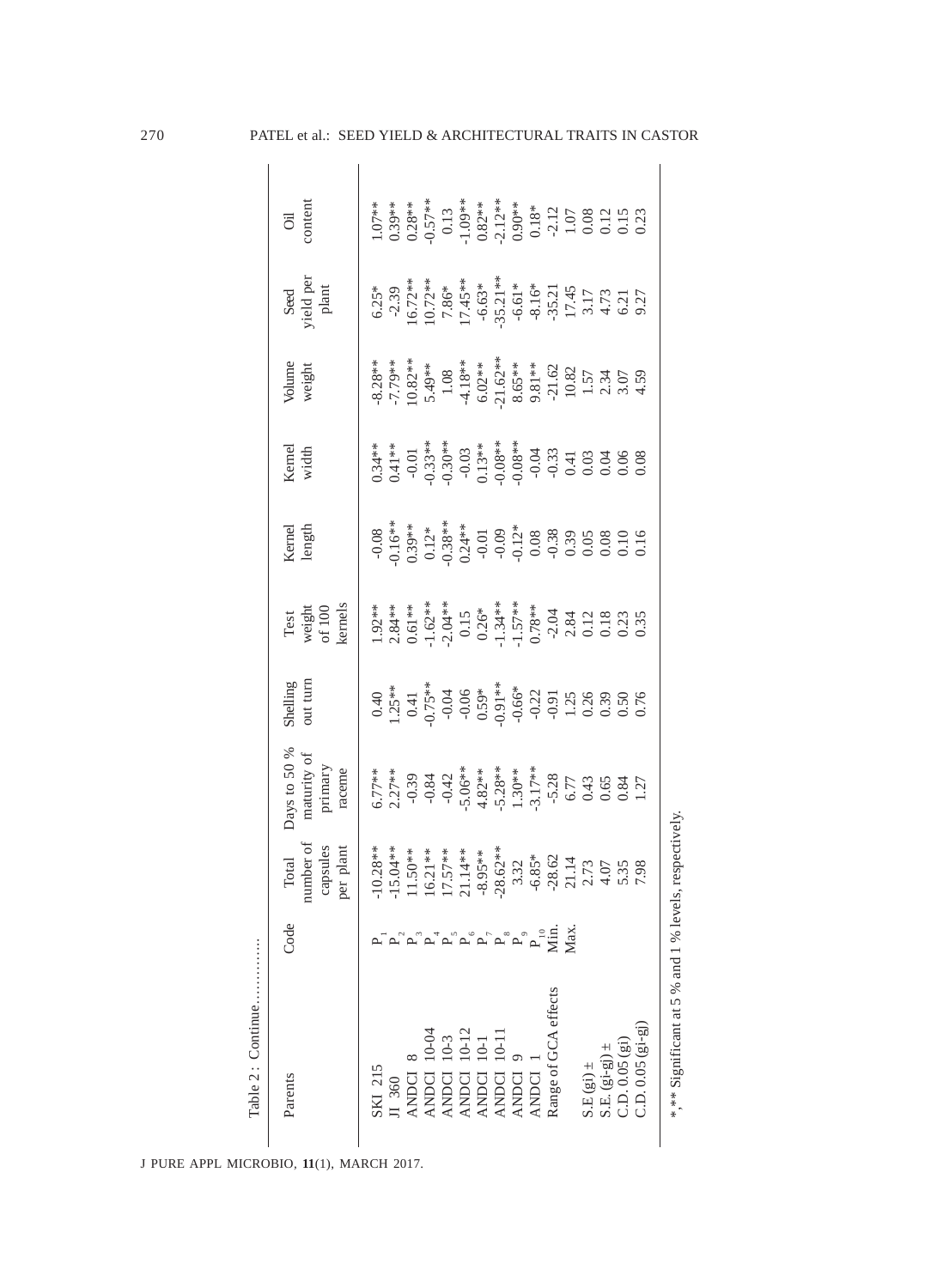| Parents                                               | $_{\rm Code}$            | number of<br>capsules<br>er plant<br>Total                                                                                                                                                                                                                               | Days to 50 %<br>maturity of<br>primary<br>raceme                                                                                                                                                                                                                                                                                                  | Shelling<br>out turn | Test<br>weight<br>of 100<br>kernels                                                                                                                                                                                                                                                                                                                                                                               | Kernel<br>length                                                                                                                                                                                                                                                                                                                      | Kernel<br>width | Volume<br>weight                                                                                                                                                                  | Seed<br>vield per<br>plant                                                                                                                                                                                                                                                                                                                     | Oil<br>content                                                                                                                                                                                                                                                                                                            |  |
|-------------------------------------------------------|--------------------------|--------------------------------------------------------------------------------------------------------------------------------------------------------------------------------------------------------------------------------------------------------------------------|---------------------------------------------------------------------------------------------------------------------------------------------------------------------------------------------------------------------------------------------------------------------------------------------------------------------------------------------------|----------------------|-------------------------------------------------------------------------------------------------------------------------------------------------------------------------------------------------------------------------------------------------------------------------------------------------------------------------------------------------------------------------------------------------------------------|---------------------------------------------------------------------------------------------------------------------------------------------------------------------------------------------------------------------------------------------------------------------------------------------------------------------------------------|-----------------|-----------------------------------------------------------------------------------------------------------------------------------------------------------------------------------|------------------------------------------------------------------------------------------------------------------------------------------------------------------------------------------------------------------------------------------------------------------------------------------------------------------------------------------------|---------------------------------------------------------------------------------------------------------------------------------------------------------------------------------------------------------------------------------------------------------------------------------------------------------------------------|--|
| SKI 215<br>JI 360                                     |                          | $-10.28$<br>$-15.04$<br>$+15.04$<br>$+15.03$<br>$-15.07$<br>$-15.07$<br>$-15.07$<br>$-15.07$<br>$-15.07$<br>$-15.07$<br>$-15.07$<br>$-15.07$<br>$-15.07$<br>$-15.07$<br>$-15.07$<br>$-15.07$<br>$-15.07$<br>$-15.07$<br>$-15.07$<br>$-15.07$<br>$-15.07$<br>$-15.07$<br> | $\begin{array}{l} 6.77^{**}_{1} \\ 2.27^{**}_{1} \\ -0.39 \\ -0.81 \\ -0.64 \\ -0.63 \\ -0.64 \\ -0.63 \\ -0.64 \\ -0.64 \\ -0.64 \\ -0.64 \\ -0.64 \\ -0.64 \\ -0.64 \\ -0.64 \\ -0.64 \\ -0.64 \\ -0.64 \\ -0.64 \\ -0.64 \\ -0.64 \\ -0.64 \\ -0.64 \\ -0.64 \\ -0.64 \\ -0.64 \\ -0.64 \\ -0.64 \\ -0.64 \\ -0.64 \\ -0.64 \\ -0.64 \\ -0.64$ |                      | $\begin{array}{l} 1.92\overset{**}{\leadsto} 34\overset{**}{\leadsto} 34\overset{**}{\leadsto} 1.93\overset{**}{\leadsto} 1.62\overset{**}{\leadsto} 1.62\overset{**}{\leadsto} 1.61\overset{**}{\leadsto} 1.57\overset{**}{\leadsto} 1.57\overset{**}{\leadsto} 1.57\overset{**}{\leadsto} 1.71\overset{**}{\leadsto} 1.71\overset{**}{\leadsto} 1.71\overset{**}{\leadsto} 0.78\overset{**}{\leadsto} 0.73\end$ | $\begin{array}{l} 0.08 \\ 0.16^{**} \\ 0.39^{**} \\ 0.39^{**} \\ 0.39^{**} \\ 0.39^{**} \\ 0.39^{**} \\ 0.39^{**} \\ 0.39^{**} \\ 0.39^{**} \\ 0.39^{**} \\ 0.39^{**} \\ 0.39^{**} \\ 0.39^{**} \\ 0.39^{**} \\ 0.30^{**} \\ 0.30^{**} \\ 0.30^{**} \\ 0.30^{**} \\ 0.30^{**} \\ 0.30^{**} \\ 0.30^{**} \\ 0.30^{**} \\ 0.30^{**} \\$ |                 | $-8.28$ **<br>$-7.79$ **<br>$-7.79$ **<br>$-5.49$ **<br>$-1.8$ **<br>$-1.8$ **<br>$-1.8$ **<br>$-1.62$ **<br>$-1.62$ **<br>$-1.62$ **<br>$-1.57$<br>$-1.57$<br>$-1.57$<br>$-1.57$ | $\begin{array}{l} 6.25^{*}\\ -2.39\\ 16.72^{***}\\ 10.72^{***}\\ 11.45^{**}\\ 1.45^{**}\\ 1.50^{**}\\ 1.65^{**}\\ 1.74^{**}\\ 1.73^{**}\\ 1.73^{**}\\ 1.73^{**}\\ 1.73^{**}\\ 1.73^{**}\\ 1.73^{**}\\ 1.73^{**}\\ 1.73^{**}\\ 1.73^{**}\\ 1.73^{**}\\ 1.73^{**}\\ 1.73^{**}\\ 1.73^{**}\\ 1.73^{**}\\ 1.73^{**}\\ 1.73^{**}\\ 1.73^{**}\\ 1.7$ | $\begin{array}{l} 1.07^{**} \\ 0.39^{**} \\ 0.28^{**} \\ 0.13 \\ 0.13 \\ 0.03^{**} \\ 0.03^{**} \\ 0.03^{**} \\ 0.03^{**} \\ 0.03^{**} \\ 0.03^{**} \\ 0.03^{**} \\ 0.03^{**} \\ 0.01 \\ 0.01 \\ 0.01 \\ 0.01 \\ 0.01 \\ 0.01 \\ 0.01 \\ 0.01 \\ 0.01 \\ 0.01 \\ 0.01 \\ 0.01 \\ 0.01 \\ 0.01 \\ 0.01 \\ 0.01 \\ 0.01 \\$ |  |
| $10 - 04$<br>ANDCI<br><b>ANDCI</b>                    |                          |                                                                                                                                                                                                                                                                          |                                                                                                                                                                                                                                                                                                                                                   |                      |                                                                                                                                                                                                                                                                                                                                                                                                                   |                                                                                                                                                                                                                                                                                                                                       |                 |                                                                                                                                                                                   |                                                                                                                                                                                                                                                                                                                                                |                                                                                                                                                                                                                                                                                                                           |  |
| <b>ANDCI</b> 10-12<br><b>ANDCI 10-3</b>               |                          |                                                                                                                                                                                                                                                                          |                                                                                                                                                                                                                                                                                                                                                   |                      |                                                                                                                                                                                                                                                                                                                                                                                                                   |                                                                                                                                                                                                                                                                                                                                       |                 |                                                                                                                                                                                   |                                                                                                                                                                                                                                                                                                                                                |                                                                                                                                                                                                                                                                                                                           |  |
| ANDCI 10-1                                            |                          |                                                                                                                                                                                                                                                                          |                                                                                                                                                                                                                                                                                                                                                   |                      |                                                                                                                                                                                                                                                                                                                                                                                                                   |                                                                                                                                                                                                                                                                                                                                       |                 |                                                                                                                                                                                   |                                                                                                                                                                                                                                                                                                                                                |                                                                                                                                                                                                                                                                                                                           |  |
| <b>ANDCI 10-13</b><br><b>ANDCI</b>                    |                          |                                                                                                                                                                                                                                                                          |                                                                                                                                                                                                                                                                                                                                                   |                      |                                                                                                                                                                                                                                                                                                                                                                                                                   |                                                                                                                                                                                                                                                                                                                                       |                 |                                                                                                                                                                                   |                                                                                                                                                                                                                                                                                                                                                |                                                                                                                                                                                                                                                                                                                           |  |
| ANDCI                                                 | $P_{\text{min}}^{\circ}$ |                                                                                                                                                                                                                                                                          |                                                                                                                                                                                                                                                                                                                                                   |                      |                                                                                                                                                                                                                                                                                                                                                                                                                   |                                                                                                                                                                                                                                                                                                                                       |                 |                                                                                                                                                                                   |                                                                                                                                                                                                                                                                                                                                                |                                                                                                                                                                                                                                                                                                                           |  |
| Range of GCA effects                                  |                          |                                                                                                                                                                                                                                                                          |                                                                                                                                                                                                                                                                                                                                                   |                      |                                                                                                                                                                                                                                                                                                                                                                                                                   |                                                                                                                                                                                                                                                                                                                                       |                 |                                                                                                                                                                                   |                                                                                                                                                                                                                                                                                                                                                |                                                                                                                                                                                                                                                                                                                           |  |
|                                                       | Max                      |                                                                                                                                                                                                                                                                          |                                                                                                                                                                                                                                                                                                                                                   |                      |                                                                                                                                                                                                                                                                                                                                                                                                                   |                                                                                                                                                                                                                                                                                                                                       |                 |                                                                                                                                                                                   |                                                                                                                                                                                                                                                                                                                                                |                                                                                                                                                                                                                                                                                                                           |  |
| $S.E(gi) \pm$                                         |                          |                                                                                                                                                                                                                                                                          |                                                                                                                                                                                                                                                                                                                                                   |                      |                                                                                                                                                                                                                                                                                                                                                                                                                   |                                                                                                                                                                                                                                                                                                                                       |                 |                                                                                                                                                                                   |                                                                                                                                                                                                                                                                                                                                                |                                                                                                                                                                                                                                                                                                                           |  |
| S.E. $(gi-gj) \pm$<br>C.D. 0.05 $(gi)$                |                          |                                                                                                                                                                                                                                                                          |                                                                                                                                                                                                                                                                                                                                                   |                      |                                                                                                                                                                                                                                                                                                                                                                                                                   |                                                                                                                                                                                                                                                                                                                                       |                 |                                                                                                                                                                                   |                                                                                                                                                                                                                                                                                                                                                |                                                                                                                                                                                                                                                                                                                           |  |
|                                                       |                          |                                                                                                                                                                                                                                                                          |                                                                                                                                                                                                                                                                                                                                                   |                      |                                                                                                                                                                                                                                                                                                                                                                                                                   |                                                                                                                                                                                                                                                                                                                                       |                 |                                                                                                                                                                                   |                                                                                                                                                                                                                                                                                                                                                |                                                                                                                                                                                                                                                                                                                           |  |
| $C.D. 0.05 (gi-gj)$                                   |                          |                                                                                                                                                                                                                                                                          |                                                                                                                                                                                                                                                                                                                                                   |                      |                                                                                                                                                                                                                                                                                                                                                                                                                   |                                                                                                                                                                                                                                                                                                                                       |                 |                                                                                                                                                                                   |                                                                                                                                                                                                                                                                                                                                                |                                                                                                                                                                                                                                                                                                                           |  |
| *.** Significant at 5 % and 1 % levels, respectively. |                          |                                                                                                                                                                                                                                                                          |                                                                                                                                                                                                                                                                                                                                                   |                      |                                                                                                                                                                                                                                                                                                                                                                                                                   |                                                                                                                                                                                                                                                                                                                                       |                 |                                                                                                                                                                                   |                                                                                                                                                                                                                                                                                                                                                |                                                                                                                                                                                                                                                                                                                           |  |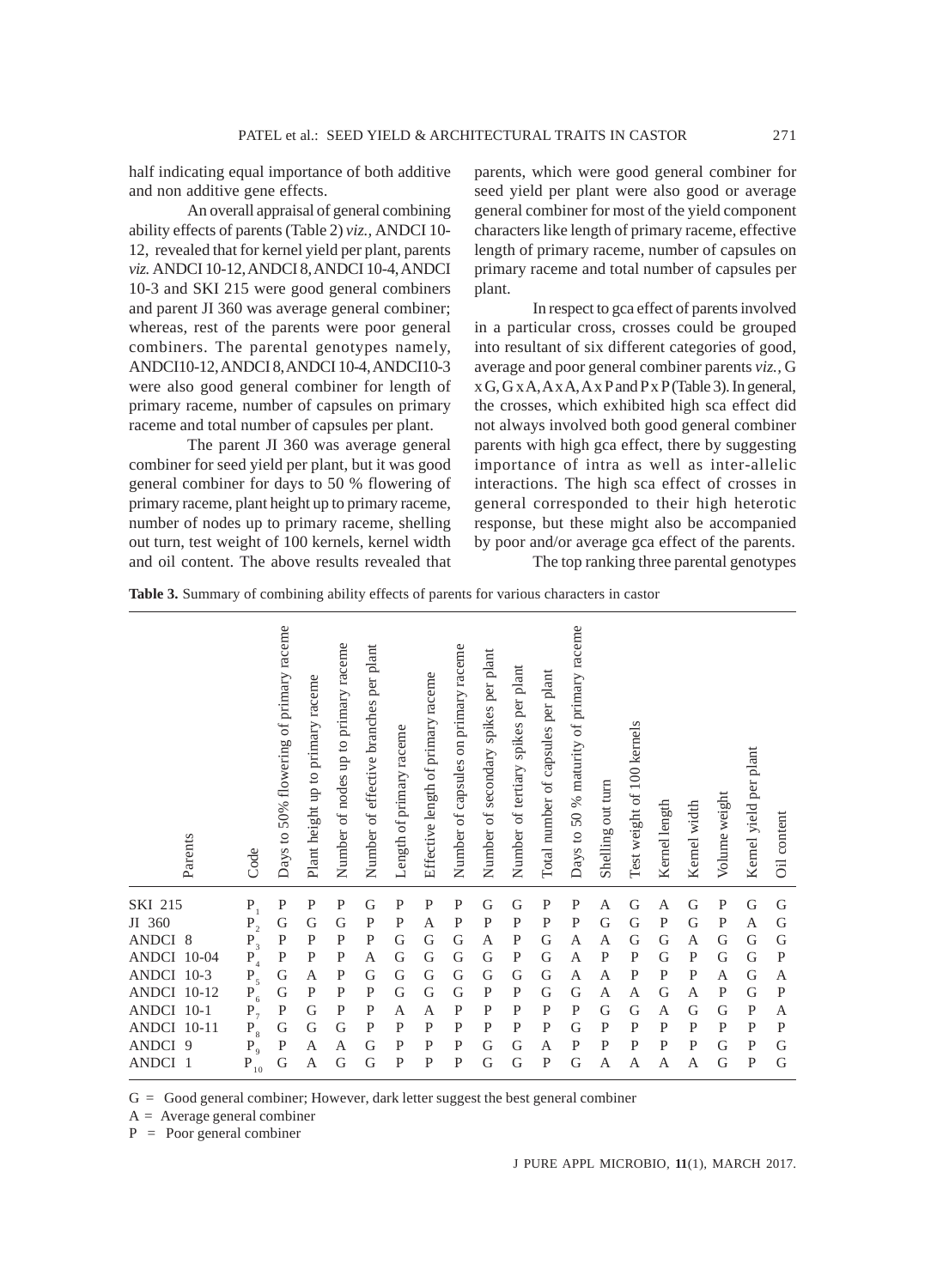half indicating equal importance of both additive and non additive gene effects.

An overall appraisal of general combining ability effects of parents (Table 2) *viz.,* ANDCI 10- 12, revealed that for kernel yield per plant, parents *viz.* ANDCI 10-12, ANDCI 8, ANDCI 10-4, ANDCI 10-3 and SKI 215 were good general combiners and parent JI 360 was average general combiner; whereas, rest of the parents were poor general combiners. The parental genotypes namely, ANDCI10-12, ANDCI 8, ANDCI 10-4, ANDCI10-3 were also good general combiner for length of primary raceme, number of capsules on primary raceme and total number of capsules per plant.

The parent JI 360 was average general combiner for seed yield per plant, but it was good general combiner for days to 50 % flowering of primary raceme, plant height up to primary raceme, number of nodes up to primary raceme, shelling out turn, test weight of 100 kernels, kernel width and oil content. The above results revealed that parents, which were good general combiner for seed yield per plant were also good or average general combiner for most of the yield component characters like length of primary raceme, effective length of primary raceme, number of capsules on primary raceme and total number of capsules per plant.

In respect to gca effect of parents involved in a particular cross, crosses could be grouped into resultant of six different categories of good, average and poor general combiner parents *viz.,* G  $x G$ ,  $G x A$ ,  $A x A$ ,  $A x P$  and  $P x P$  (Table 3). In general, the crosses, which exhibited high sca effect did not always involved both good general combiner parents with high gca effect, there by suggesting importance of intra as well as inter-allelic interactions. The high sca effect of crosses in general corresponded to their high heterotic response, but these might also be accompanied by poor and/or average gca effect of the parents. The top ranking three parental genotypes

| <b>Table 3.</b> Summary of combining ability effects of parents for various characters in castor |  |  |  |  |
|--------------------------------------------------------------------------------------------------|--|--|--|--|
|                                                                                                  |  |  |  |  |

| Parents                                                                                                                                                           | Code                                                                                                                               | Days to 50% flowering of primary raceme                                                               | Plant height up to primary raceme                                                        | Number of nodes up to primary raceme                                                               | Number of effective branches per plant                                          | Length of primary raceme                                                                                         | Effective length of primary raceme                                                                     | Number of capsules on primary raceme                                                                            | Number of secondary spikes per plant                                                       | Number of tertiary spikes per plant                                                                   | plant<br>capsules per<br>Total number of                                                              | Days to 50 % maturity of primary raceme                                                   | Shelling out turn                                                                            | Test weight of 100 kernels                                                        | Kernel length                                                                                                | Kernel width                                   | Volume weight                                                                                      | Kernel yield per plant                                                                     | content<br>öil                                                                 |
|-------------------------------------------------------------------------------------------------------------------------------------------------------------------|------------------------------------------------------------------------------------------------------------------------------------|-------------------------------------------------------------------------------------------------------|------------------------------------------------------------------------------------------|----------------------------------------------------------------------------------------------------|---------------------------------------------------------------------------------|------------------------------------------------------------------------------------------------------------------|--------------------------------------------------------------------------------------------------------|-----------------------------------------------------------------------------------------------------------------|--------------------------------------------------------------------------------------------|-------------------------------------------------------------------------------------------------------|-------------------------------------------------------------------------------------------------------|-------------------------------------------------------------------------------------------|----------------------------------------------------------------------------------------------|-----------------------------------------------------------------------------------|--------------------------------------------------------------------------------------------------------------|------------------------------------------------|----------------------------------------------------------------------------------------------------|--------------------------------------------------------------------------------------------|--------------------------------------------------------------------------------|
| <b>SKI 215</b><br>JI 360<br>ANDCI 8<br><b>ANDCI</b><br>$10-04$<br>ANDCI 10-3<br><b>ANDCI 10-12</b><br><b>ANDCI</b><br>$10-1$<br>ANDCI 10-11<br>ANDCI 9<br>ANDCI 1 | $\mathbf{P}_{_{1}}$<br>$\mathbf{P}_{_2}$<br>$P_3^-$<br>$P_4$<br>$P_5$<br>$P_6$<br>$P_{7}$<br>$P_8$<br>$P_{9}$<br>$\mathbf{P}_{10}$ | $\mathbf{P}$<br>G<br>$\mathbf{P}$<br>$\mathbf{P}$<br>G<br>G<br>$\mathbf{P}$<br>G<br>$\mathbf{P}$<br>G | $\mathbf P$<br>G<br>$\mathbf{P}$<br>$\mathbf{P}$<br>A<br>$\mathbf P$<br>G<br>G<br>A<br>A | $\mathbf{P}$<br>G<br>$\mathbf{P}$<br>$\mathbf{P}$<br>P<br>${\bf P}$<br>$\, {\bf P}$<br>G<br>A<br>G | G<br>P<br>$\mathbf{P}$<br>A<br>G<br>$\mathbf{P}$<br>P<br>$\mathbf{P}$<br>G<br>G | $\mathbf P$<br>${\bf P}$<br>G<br>G<br>G<br>G<br>$\overline{A}$<br>$\mathbf{P}$<br>$\overline{P}$<br>$\mathbf{P}$ | $\mathbf P$<br>A<br>G<br>G<br>G<br>G<br>$\overline{A}$<br>$\mathbf{P}$<br>$\mathbf{P}$<br>$\mathbf{P}$ | $\mathbf P$<br>$\mathbf P$<br>G<br>G<br>G<br>G<br>$\mathbf P$<br>$\mathsf{P}$<br>$\mathbf{P}$<br>$\overline{P}$ | G<br>$\, {\bf P}$<br>A<br>G<br>G<br>$\, {\bf P}$<br>$\, {\bf P}$<br>$\mathbf{P}$<br>G<br>G | G<br>$\mathbf{P}$<br>$\mathbf{P}$<br>$\mathbf{P}$<br>G<br>$\mathbf{P}$<br>$\mathbf{P}$<br>P<br>G<br>G | $\mathbf{P}$<br>$\mathbf{P}$<br>G<br>G<br>G<br>G<br>$\mathbf{P}$<br>$\mathbf{P}$<br>А<br>$\mathbf{P}$ | $\mathbf{P}$<br>$\mathbf P$<br>A<br>A<br>A<br>G<br>$\mathbf{P}$<br>G<br>$\mathbf{P}$<br>G | A<br>G<br>A<br>$\mathbf{P}$<br>A<br>A<br>G<br>$\mathbf{P}$<br>$\mathbf{P}$<br>$\overline{A}$ | G<br>G<br>G<br>$\mathbf{P}$<br>P<br>A<br>G<br>$\mathsf{P}$<br>$\overline{P}$<br>A | $\mathbf{A}$<br>${\bf P}$<br>$\mathbf G$<br>G<br>$\mathbf{P}$<br>G<br>A<br>$\mathbf{P}$<br>$\mathbf{P}$<br>A | G<br>G<br>A<br>P<br>P<br>A<br>G<br>P<br>P<br>A | $\mathbf{P}$<br>$\, {\bf P}$<br>G<br>G<br>A<br>$\mathbf{P}$<br>${\bf G}$<br>$\mathbf{P}$<br>G<br>G | G<br>A<br>G<br>G<br>G<br>G<br>$\mathbf{P}$<br>$\mathbf{P}$<br>$\mathbf{P}$<br>$\mathbf{P}$ | G<br>G<br>G<br>$\mathbf{P}$<br>A<br>$\mathbf P$<br>А<br>$\mathbf{P}$<br>G<br>G |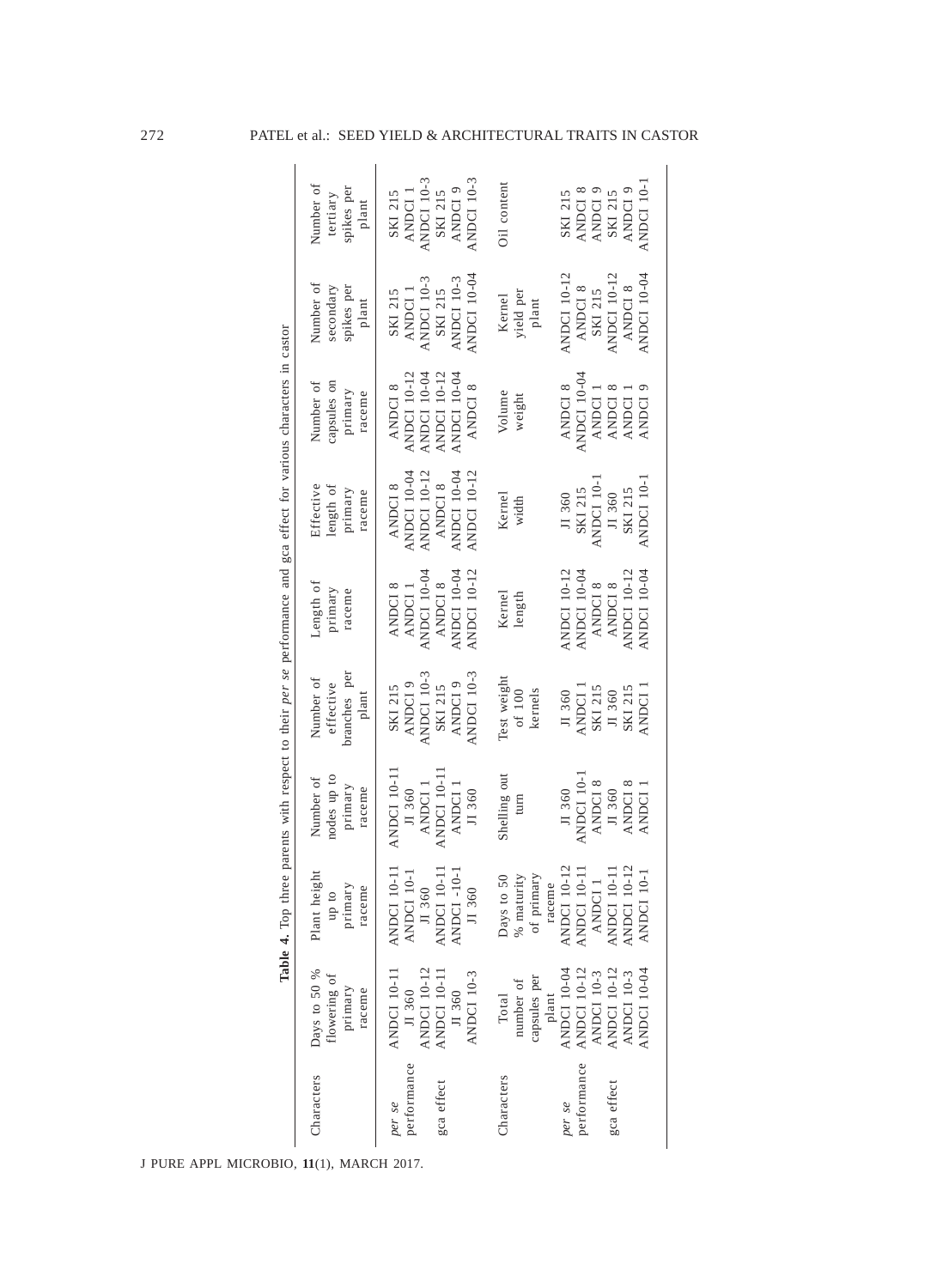|                                                                                                                     | Number of    | tertiary     | spikes per   | plant       | SKI 215            | ANDCI <sub>1</sub> | ANDCI 10-3         | SKI 215            | ANDCI 9            | ANDCI 10-3         |        | Oil content  |               |                       | SKI 215            | ANDCI <sub>8</sub>         | ANDCI 9            | SKI 215            | ANDCI 9                   | <b>ANDCI 10-1</b>  |  |
|---------------------------------------------------------------------------------------------------------------------|--------------|--------------|--------------|-------------|--------------------|--------------------|--------------------|--------------------|--------------------|--------------------|--------|--------------|---------------|-----------------------|--------------------|----------------------------|--------------------|--------------------|---------------------------|--------------------|--|
|                                                                                                                     | Number of    | secondary    | spikes per   | plant       | SKI 215            | ANDCI <sub>1</sub> | ANDCI 10-3         | SKI 215            | ANDCI 10-3         | ANDCI 10-04        |        | Kernel       | yield per     | plant                 | <b>ANDCI 10-12</b> | ANDCI <sub>8</sub>         | SKI 215            | <b>ANDCI 10-12</b> | ANDCI <sub>8</sub>        | ANDCI 10-04        |  |
|                                                                                                                     | Number of    | capsules on  | primary      | raceme      | ANDCI <sub>8</sub> | <b>ANDCI 10-12</b> | <b>ANDCI 10-04</b> | ANDCI 10-12        | ANDCI 10-04        | ANDCI <sub>8</sub> |        | Volume       | weight        |                       | ANDCI <sub>8</sub> | <b>ANDCI 10-04</b>         | ANDCI <sub>1</sub> | ANDCI <sub>8</sub> | ANDCI                     | ANDCI <sub>9</sub> |  |
|                                                                                                                     | Effective    | length of    | primary      | raceme      | ANDCI <sub>8</sub> | <b>ANDCI 10-04</b> | ANDCI 10-12        | ANDCI <sub>8</sub> | <b>ANDCI 10-04</b> | ANDCI 10-12        | Kernel |              | width         |                       | JI 360             | SKI 215                    | ANDCI 10-1         | JI 360             | SKI 215                   | <b>ANDCI 10-1</b>  |  |
|                                                                                                                     | Length of    | primary      | raceme       |             | ANDCI <sub>8</sub> | ANDCI <sub>1</sub> | <b>ANDCI 10-04</b> | ANDCI <sub>8</sub> | <b>ANDCI 10-04</b> | ANDCI 10-12        |        | Kernel       | length        |                       | <b>ANDCI 10-12</b> | <b>ANDCI 10-04</b>         | ANDCI <sub>8</sub> | ANDCI <sub>8</sub> | ANDCI 10-12               | <b>ANDCI 10-04</b> |  |
|                                                                                                                     | Number of    | effective    | branches per | $\rm p1ant$ | SKI 215            | ANDCI <sub>9</sub> | ANDCI 10-3         | SKI 215            | ANDCI <sub>9</sub> | <b>ANDCI 10-3</b>  |        | Test weight  | of $100$      | kernels               | JI 360             | <b>ANDCI</b>               | SKI 215            | JI 360             | SKI 215                   | ANDCI <sub>1</sub> |  |
| Table 4. Top three parents with respect to their per se performance and gca effect for various characters in castor | Number of    | nodes up to  | primary      | raceme      | <b>ANDCI 10-11</b> | JI 360             | ANDCI <sub>1</sub> | ANDCI 10-1         | ANDCI <sub>1</sub> | JI 360             |        | Shelling out | turn          |                       | JI 360             | <b>ANDCI 10-1</b>          | ANDCI <sub>8</sub> | JI 360             | ANDCI <sub>8</sub>        | ANDCI <sub>1</sub> |  |
|                                                                                                                     | Plant height | up to        | primary      | raceme      | <b>ANDCI 10-11</b> | <b>ANDCI 10-1</b>  | JI 360             | <b>ANDCI 10-11</b> | <b>ANDCI-10-1</b>  | JI 360             |        | Days to 50   | $\%$ maturity | of primary<br>raceme  |                    | ANDCI 10-12<br>ANDCI 10-11 | ANDCI <sub>1</sub> | <b>ANDCI 10-11</b> | ANDCI 10-12<br>ANDCI 10-1 |                    |  |
|                                                                                                                     | Days to 50 % | flowering of | primary      | raceme      | <b>ANDCI 10-11</b> | JI 360             | <b>ANDCI 10-12</b> | <b>ANDCI 10-11</b> | JI 360             | <b>ANDCI 10-3</b>  | Total  |              | number of     | capsules per<br>plant | <b>ANDCI 10-04</b> | ANDCI 10-12                | ANDCI 10-3         | <b>ANDCI 10-12</b> | <b>ANDCI 10-3</b>         | <b>ANDCI 10-04</b> |  |
|                                                                                                                     | Characters   |              |              |             | per se             | performance        |                    | gca effect         |                    |                    |        | Characters   |               |                       | per se             | performance                |                    | gca effect         |                           |                    |  |

# 272 PATEL et al.: SEED YIELD & ARCHITECTURAL TRAITS IN CASTOR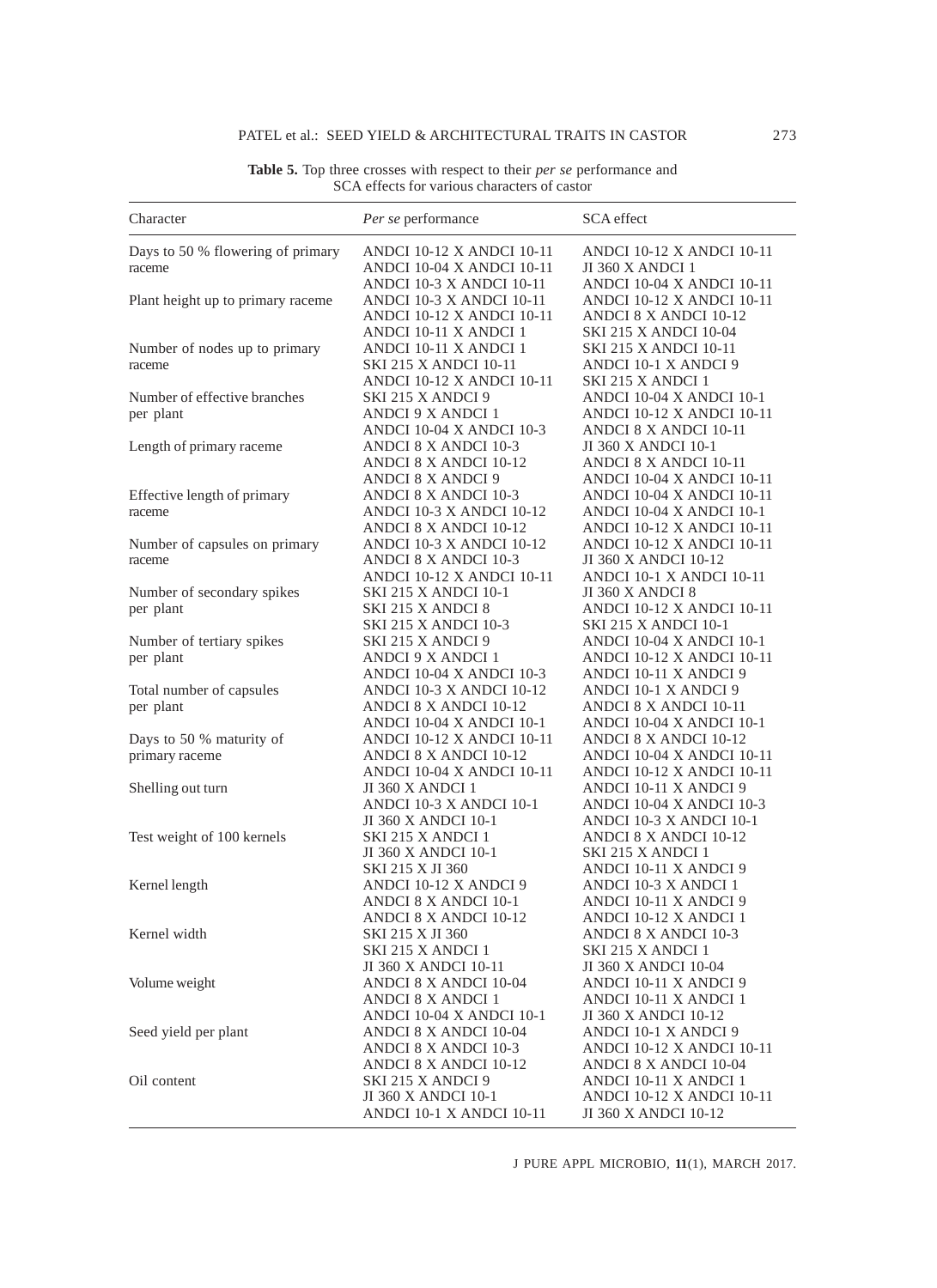## PATEL et al.: SEED YIELD & ARCHITECTURAL TRAITS IN CASTOR 273

| Character                                  | Per se performance                                   | SCA effect                                         |
|--------------------------------------------|------------------------------------------------------|----------------------------------------------------|
| Days to 50 % flowering of primary          | ANDCI 10-12 X ANDCI 10-11                            | ANDCI 10-12 X ANDCI 10-11                          |
| raceme                                     | ANDCI 10-04 X ANDCI 10-11                            | <b>JI 360 X ANDCI 1</b>                            |
|                                            | <b>ANDCI 10-3 X ANDCI 10-11</b>                      | ANDCI 10-04 X ANDCI 10-11                          |
| Plant height up to primary raceme          | <b>ANDCI 10-3 X ANDCI 10-11</b>                      | ANDCI 10-12 X ANDCI 10-11                          |
|                                            | ANDCI 10-12 X ANDCI 10-11                            | ANDCI 8 X ANDCI 10-12                              |
|                                            | ANDCI 10-11 X ANDCI 1                                | <b>SKI 215 X ANDCI 10-04</b>                       |
| Number of nodes up to primary              | ANDCI 10-11 X ANDCI 1                                | <b>SKI 215 X ANDCI 10-11</b>                       |
| raceme                                     | <b>SKI 215 X ANDCI 10-11</b>                         | ANDCI 10-1 X ANDCI 9                               |
|                                            | ANDCI 10-12 X ANDCI 10-11                            | SKI 215 X ANDCI 1                                  |
| Number of effective branches               | SKI 215 X ANDCI 9                                    | <b>ANDCI 10-04 X ANDCI 10-1</b>                    |
| per plant                                  | ANDCI 9 X ANDCI 1                                    | ANDCI 10-12 X ANDCI 10-11                          |
|                                            | <b>ANDCI 10-04 X ANDCI 10-3</b>                      | ANDCI 8 X ANDCI 10-11                              |
| Length of primary raceme                   | ANDCI 8 X ANDCI 10-3                                 | JI 360 X ANDCI 10-1                                |
|                                            | ANDCI 8 X ANDCI 10-12<br><b>ANDCI 8 X ANDCI 9</b>    | ANDCI 8 X ANDCI 10-11<br>ANDCI 10-04 X ANDCI 10-11 |
| Effective length of primary                | ANDCI 8 X ANDCI 10-3                                 | ANDCI 10-04 X ANDCI 10-11                          |
| raceme                                     | <b>ANDCI 10-3 X ANDCI 10-12</b>                      | <b>ANDCI 10-04 X ANDCI 10-1</b>                    |
|                                            | ANDCI 8 X ANDCI 10-12                                | ANDCI 10-12 X ANDCI 10-11                          |
| Number of capsules on primary              | <b>ANDCI 10-3 X ANDCI 10-12</b>                      | ANDCI 10-12 X ANDCI 10-11                          |
| raceme                                     | ANDCI 8 X ANDCI 10-3                                 | JI 360 X ANDCI 10-12                               |
|                                            | ANDCI 10-12 X ANDCI 10-11                            | <b>ANDCI 10-1 X ANDCI 10-11</b>                    |
| Number of secondary spikes                 | <b>SKI 215 X ANDCI 10-1</b>                          | <b>JI 360 X ANDCI 8</b>                            |
| per plant                                  | SKI 215 X ANDCI 8                                    | ANDCI 10-12 X ANDCI 10-11                          |
|                                            | <b>SKI 215 X ANDCI 10-3</b>                          | <b>SKI 215 X ANDCI 10-1</b>                        |
| Number of tertiary spikes                  | SKI 215 X ANDCI 9                                    | <b>ANDCI 10-04 X ANDCI 10-1</b>                    |
| per plant                                  | ANDCI 9 X ANDCI 1                                    | ANDCI 10-12 X ANDCI 10-11                          |
|                                            | <b>ANDCI 10-04 X ANDCI 10-3</b>                      | ANDCI 10-11 X ANDCI 9                              |
| Total number of capsules                   | <b>ANDCI 10-3 X ANDCI 10-12</b>                      | ANDCI 10-1 X ANDCI 9                               |
| per plant                                  | ANDCI 8 X ANDCI 10-12                                | ANDCI 8 X ANDCI 10-11                              |
|                                            | <b>ANDCI 10-04 X ANDCI 10-1</b>                      | <b>ANDCI 10-04 X ANDCI 10-1</b>                    |
| Days to 50 % maturity of<br>primary raceme | ANDCI 10-12 X ANDCI 10-11<br>ANDCI 8 X ANDCI 10-12   | ANDCI 8 X ANDCI 10-12<br>ANDCI 10-04 X ANDCI 10-11 |
|                                            | ANDCI 10-04 X ANDCI 10-11                            | ANDCI 10-12 X ANDCI 10-11                          |
| Shelling out turn                          | JI 360 X ANDCI 1                                     | ANDCI 10-11 X ANDCI 9                              |
|                                            | ANDCI 10-3 X ANDCI 10-1                              | <b>ANDCI 10-04 X ANDCI 10-3</b>                    |
|                                            | JI 360 X ANDCI 10-1                                  | ANDCI 10-3 X ANDCI 10-1                            |
| Test weight of 100 kernels                 | SKI 215 X ANDCI 1                                    | ANDCI 8 X ANDCI 10-12                              |
|                                            | JI 360 X ANDCI 10-1                                  | SKI 215 X ANDCI 1                                  |
|                                            | SKI 215 X JI 360                                     | ANDCI 10-11 X ANDCI 9                              |
| Kernel length                              | ANDCI 10-12 X ANDCI 9                                | ANDCI 10-3 X ANDCI 1                               |
|                                            | ANDCI 8 X ANDCI 10-1                                 | ANDCI 10-11 X ANDCI 9                              |
|                                            | ANDCI 8 X ANDCI 10-12                                | ANDCI 10-12 X ANDCI 1                              |
| Kernel width                               | SKI 215 X JI 360                                     | ANDCI 8 X ANDCI 10-3                               |
|                                            | SKI 215 X ANDCI 1                                    | SKI 215 X ANDCI 1                                  |
|                                            | JI 360 X ANDCI 10-11                                 | JI 360 X ANDCI 10-04                               |
| Volume weight                              | ANDCI 8 X ANDCI 10-04                                | ANDCI 10-11 X ANDCI 9                              |
|                                            | ANDCI 8 X ANDCI 1<br><b>ANDCI 10-04 X ANDCI 10-1</b> | ANDCI 10-11 X ANDCI 1<br>JI 360 X ANDCI 10-12      |
| Seed yield per plant                       | ANDCI 8 X ANDCI 10-04                                | ANDCI 10-1 X ANDCI 9                               |
|                                            | ANDCI 8 X ANDCI 10-3                                 | ANDCI 10-12 X ANDCI 10-11                          |
|                                            | ANDCI 8 X ANDCI 10-12                                | ANDCI 8 X ANDCI 10-04                              |
| Oil content                                | SKI 215 X ANDCI 9                                    | ANDCI 10-11 X ANDCI 1                              |
|                                            | JI 360 X ANDCI 10-1                                  | <b>ANDCI 10-12 X ANDCI 10-11</b>                   |
|                                            | <b>ANDCI 10-1 X ANDCI 10-11</b>                      | JI 360 X ANDCI 10-12                               |
|                                            |                                                      |                                                    |

**Table 5.** Top three crosses with respect to their *per se* performance and SCA effects for various characters of castor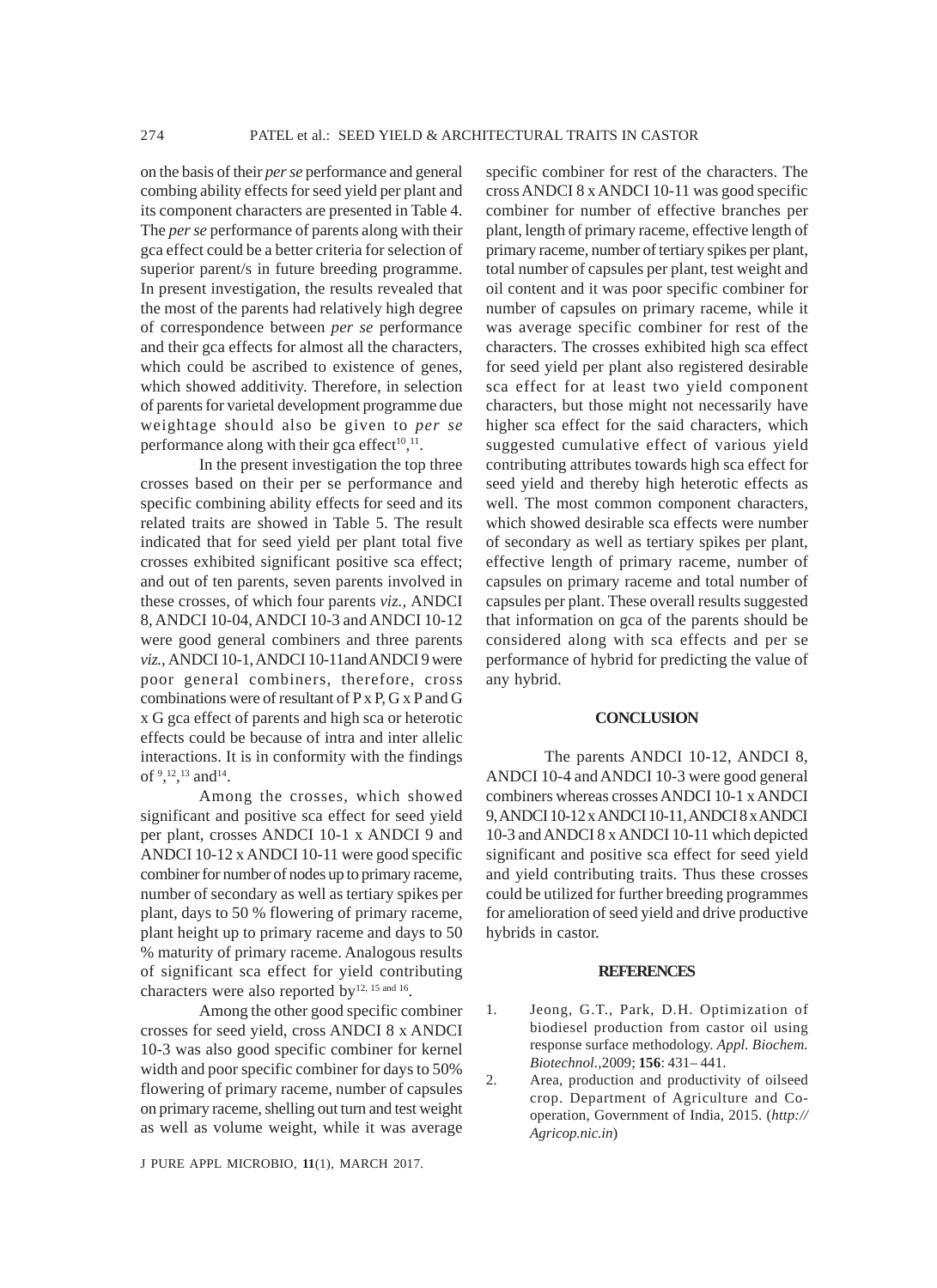on the basis of their *per se* performance and general combing ability effects for seed yield per plant and its component characters are presented in Table 4. The *per se* performance of parents along with their gca effect could be a better criteria for selection of superior parent/s in future breeding programme. In present investigation, the results revealed that the most of the parents had relatively high degree of correspondence between *per se* performance and their gca effects for almost all the characters, which could be ascribed to existence of genes, which showed additivity. Therefore, in selection of parents for varietal development programme due weightage should also be given to *per se* performance along with their gca effect<sup>10</sup>,<sup>11</sup>.

In the present investigation the top three crosses based on their per se performance and specific combining ability effects for seed and its related traits are showed in Table 5. The result indicated that for seed yield per plant total five crosses exhibited significant positive sca effect; and out of ten parents, seven parents involved in these crosses, of which four parents *viz.,* ANDCI 8, ANDCI 10-04, ANDCI 10-3 and ANDCI 10-12 were good general combiners and three parents *viz.,* ANDCI 10-1, ANDCI 10-11and ANDCI 9 were poor general combiners, therefore, cross combinations were of resultant of P x P, G x P and G x G gca effect of parents and high sca or heterotic effects could be because of intra and inter allelic interactions. It is in conformity with the findings of  $9,12,13$  and  $14$ .

Among the crosses, which showed significant and positive sca effect for seed yield per plant, crosses ANDCI 10-1 x ANDCI 9 and ANDCI 10-12 x ANDCI 10-11 were good specific combiner for number of nodes up to primary raceme, number of secondary as well as tertiary spikes per plant, days to 50 % flowering of primary raceme, plant height up to primary raceme and days to 50 % maturity of primary raceme. Analogous results of significant sca effect for yield contributing characters were also reported by<sup>12, 15 and 16</sup>.

Among the other good specific combiner crosses for seed yield, cross ANDCI 8 x ANDCI 10-3 was also good specific combiner for kernel width and poor specific combiner for days to 50% flowering of primary raceme, number of capsules on primary raceme, shelling out turn and test weight as well as volume weight, while it was average

J PURE APPL MICROBIO*,* **11**(1), MARCH 2017.

specific combiner for rest of the characters. The cross ANDCI 8 x ANDCI 10-11 was good specific combiner for number of effective branches per plant, length of primary raceme, effective length of primary raceme, number of tertiary spikes per plant, total number of capsules per plant, test weight and oil content and it was poor specific combiner for number of capsules on primary raceme, while it was average specific combiner for rest of the characters. The crosses exhibited high sca effect for seed yield per plant also registered desirable sca effect for at least two yield component characters, but those might not necessarily have higher sca effect for the said characters, which suggested cumulative effect of various yield contributing attributes towards high sca effect for seed yield and thereby high heterotic effects as well. The most common component characters, which showed desirable sca effects were number of secondary as well as tertiary spikes per plant, effective length of primary raceme, number of capsules on primary raceme and total number of capsules per plant. These overall results suggested that information on gca of the parents should be considered along with sca effects and per se performance of hybrid for predicting the value of any hybrid.

### **CONCLUSION**

The parents ANDCI 10-12, ANDCI 8, ANDCI 10-4 and ANDCI 10-3 were good general combiners whereas crosses ANDCI 10-1 x ANDCI 9, ANDCI 10-12 x ANDCI 10-11, ANDCI 8 x ANDCI 10-3 and ANDCI 8 x ANDCI 10-11 which depicted significant and positive sca effect for seed yield and yield contributing traits. Thus these crosses could be utilized for further breeding programmes for amelioration of seed yield and drive productive hybrids in castor.

#### **REFERENCES**

- 1. Jeong, G.T., Park, D.H. Optimization of biodiesel production from castor oil using response surface methodology. *Appl. Biochem. Biotechnol.,*2009; **156**: 431– 441.
- 2. Area, production and productivity of oilseed crop. Department of Agriculture and Cooperation, Government of India, 2015. (*http:// Agricop.nic.in*)